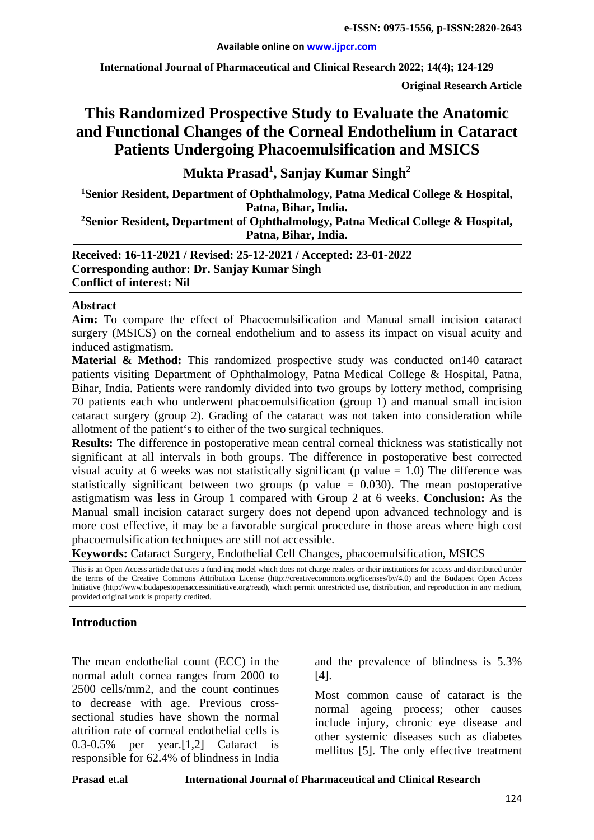**International Journal of Pharmaceutical and Clinical Research 2022; 14(4); 124-129**

**Original Research Article**

# **This Randomized Prospective Study to Evaluate the Anatomic and Functional Changes of the Corneal Endothelium in Cataract Patients Undergoing Phacoemulsification and MSICS**

**Mukta Prasad1 , Sanjay Kumar Singh<sup>2</sup>**

**1 Senior Resident, Department of Ophthalmology, Patna Medical College & Hospital, Patna, Bihar, India.**

**2Senior Resident, Department of Ophthalmology, Patna Medical College & Hospital, Patna, Bihar, India.**

**Received: 16-11-2021 / Revised: 25-12-2021 / Accepted: 23-01-2022 Corresponding author: Dr. Sanjay Kumar Singh Conflict of interest: Nil**

#### **Abstract**

**Aim:** To compare the effect of Phacoemulsification and Manual small incision cataract surgery (MSICS) on the corneal endothelium and to assess its impact on visual acuity and induced astigmatism.

**Material & Method:** This randomized prospective study was conducted on 140 cataract patients visiting Department of Ophthalmology, Patna Medical College & Hospital, Patna, Bihar, India. Patients were randomly divided into two groups by lottery method, comprising 70 patients each who underwent phacoemulsification (group 1) and manual small incision cataract surgery (group 2). Grading of the cataract was not taken into consideration while allotment of the patient's to either of the two surgical techniques.

**Results:** The difference in postoperative mean central corneal thickness was statistically not significant at all intervals in both groups. The difference in postoperative best corrected visual acuity at 6 weeks was not statistically significant ( $p$  value = 1.0) The difference was statistically significant between two groups (p value  $= 0.030$ ). The mean postoperative astigmatism was less in Group 1 compared with Group 2 at 6 weeks. **Conclusion:** As the Manual small incision cataract surgery does not depend upon advanced technology and is more cost effective, it may be a favorable surgical procedure in those areas where high cost phacoemulsification techniques are still not accessible.

**Keywords:** Cataract Surgery, Endothelial Cell Changes, phacoemulsification, MSICS

This is an Open Access article that uses a fund-ing model which does not charge readers or their institutions for access and distributed under the terms of the Creative Commons Attribution License (http://creativecommons.org/licenses/by/4.0) and the Budapest Open Access Initiative (http://www.budapestopenaccessinitiative.org/read), which permit unrestricted use, distribution, and reproduction in any medium, provided original work is properly credited.

#### **Introduction**

The mean endothelial count (ECC) in the normal adult cornea ranges from 2000 to 2500 cells/mm2, and the count continues to decrease with age. Previous crosssectional studies have shown the normal attrition rate of corneal endothelial cells is 0.3-0.5% per year.[1,2] Cataract is responsible for 62.4% of blindness in India and the prevalence of blindness is 5.3% [4].

Most common cause of cataract is the normal ageing process; other causes include injury, chronic eye disease and other systemic diseases such as diabetes mellitus [5]. The only effective treatment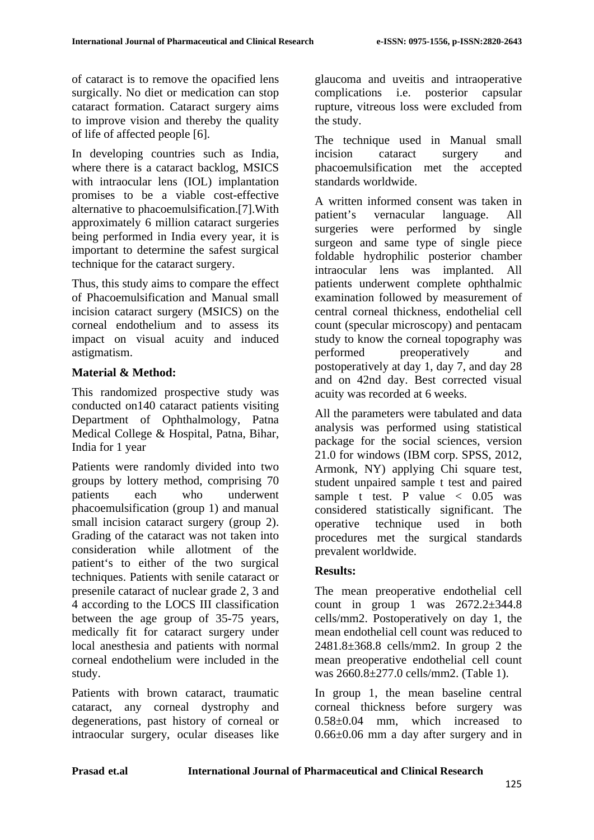of cataract is to remove the opacified lens surgically. No diet or medication can stop cataract formation. Cataract surgery aims to improve vision and thereby the quality of life of affected people [6].

In developing countries such as India, where there is a cataract backlog, MSICS with intraocular lens (IOL) implantation promises to be a viable cost-effective alternative to phacoemulsification.[7].With approximately 6 million cataract surgeries being performed in India every year, it is important to determine the safest surgical technique for the cataract surgery.

Thus, this study aims to compare the effect of Phacoemulsification and Manual small incision cataract surgery (MSICS) on the corneal endothelium and to assess its impact on visual acuity and induced astigmatism.

# **Material & Method:**

This randomized prospective study was conducted on140 cataract patients visiting Department of Ophthalmology, Patna Medical College & Hospital, Patna, Bihar, India for 1 year

Patients were randomly divided into two groups by lottery method, comprising 70 patients each who underwent phacoemulsification (group 1) and manual small incision cataract surgery (group 2). Grading of the cataract was not taken into consideration while allotment of the patient's to either of the two surgical techniques. Patients with senile cataract or presenile cataract of nuclear grade 2, 3 and 4 according to the LOCS III classification between the age group of 35-75 years, medically fit for cataract surgery under local anesthesia and patients with normal corneal endothelium were included in the study.

Patients with brown cataract, traumatic cataract, any corneal dystrophy and degenerations, past history of corneal or intraocular surgery, ocular diseases like glaucoma and uveitis and intraoperative complications i.e. posterior capsular rupture, vitreous loss were excluded from the study.

The technique used in Manual small incision cataract surgery and phacoemulsification met the accepted standards worldwide.

A written informed consent was taken in patient's vernacular language. All surgeries were performed by single surgeon and same type of single piece foldable hydrophilic posterior chamber intraocular lens was implanted. All patients underwent complete ophthalmic examination followed by measurement of central corneal thickness, endothelial cell count (specular microscopy) and pentacam study to know the corneal topography was performed preoperatively and postoperatively at day 1, day 7, and day 28 and on 42nd day. Best corrected visual acuity was recorded at 6 weeks.

All the parameters were tabulated and data analysis was performed using statistical package for the social sciences, version 21.0 for windows (IBM corp. SPSS, 2012, Armonk, NY) applying Chi square test, student unpaired sample t test and paired sample t test. P value  $\langle 0.05 \rangle$  was considered statistically significant. The operative technique used in both procedures met the surgical standards prevalent worldwide.

## **Results:**

The mean preoperative endothelial cell count in group 1 was  $2672.2 \pm 344.8$ cells/mm2. Postoperatively on day 1, the mean endothelial cell count was reduced to 2481.8±368.8 cells/mm2. In group 2 the mean preoperative endothelial cell count was 2660.8±277.0 cells/mm2. (Table 1).

In group 1, the mean baseline central corneal thickness before surgery was 0.58±0.04 mm, which increased to 0.66±0.06 mm a day after surgery and in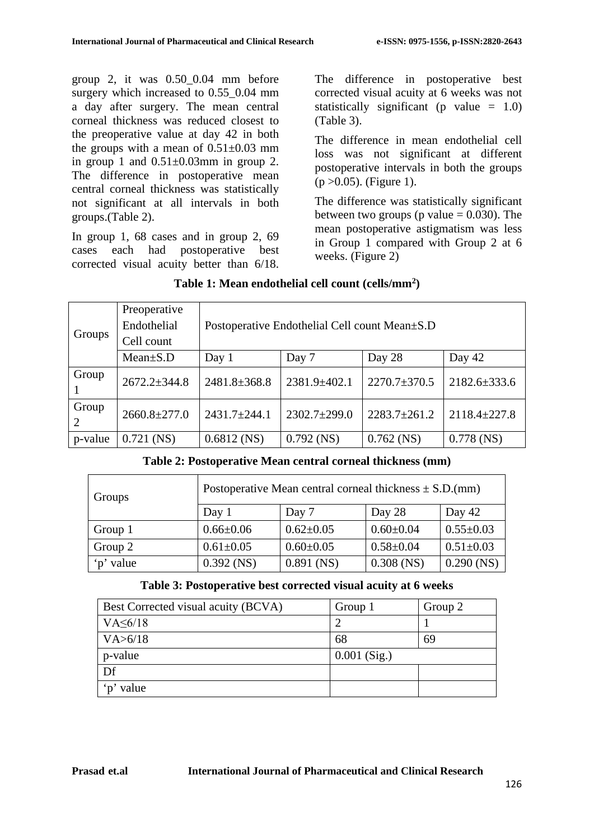group 2, it was 0.50\_0.04 mm before surgery which increased to 0.55\_0.04 mm a day after surgery. The mean central corneal thickness was reduced closest to the preoperative value at day 42 in both the groups with a mean of  $0.51\pm0.03$  mm in group 1 and  $0.51 \pm 0.03$  mm in group 2. The difference in postoperative mean central corneal thickness was statistically not significant at all intervals in both groups.(Table 2).

In group 1, 68 cases and in group 2, 69 cases each had postoperative best corrected visual acuity better than 6/18.

The difference in postoperative best corrected visual acuity at 6 weeks was not statistically significant (p value  $= 1.0$ ) (Table 3).

The difference in mean endothelial cell loss was not significant at different postoperative intervals in both the groups  $(p > 0.05)$ . (Figure 1).

The difference was statistically significant between two groups (p value  $= 0.030$ ). The mean postoperative astigmatism was less in Group 1 compared with Group 2 at 6 weeks. (Figure 2)

| Groups     | Preoperative<br>Endothelial<br>Cell count | Postoperative Endothelial Cell count Mean $\pm$ S.D |                    |                    |                    |  |
|------------|-------------------------------------------|-----------------------------------------------------|--------------------|--------------------|--------------------|--|
|            | $Mean \pm S.D$                            | Day $1$                                             | Day 7              | Day 28             | Day 42             |  |
| Group      | $2672.2 \pm 344.8$                        | $2481.8 \pm 368.8$                                  | 2381.9±402.1       | $2270.7 \pm 370.5$ | $2182.6 \pm 333.6$ |  |
| Group<br>2 | $2660.8 \pm 277.0$                        | $2431.7 \pm 244.1$                                  | $2302.7 \pm 299.0$ | $2283.7 \pm 261.2$ | $2118.4 \pm 227.8$ |  |
| p-value    | $0.721$ (NS)                              | $0.6812$ (NS)                                       | $0.792$ (NS)       | $0.762$ (NS)       | $0.778$ (NS)       |  |

## **Table 2: Postoperative Mean central corneal thickness (mm)**

| Groups    | Postoperative Mean central corneal thickness $\pm$ S.D.(mm) |                 |                 |                 |  |
|-----------|-------------------------------------------------------------|-----------------|-----------------|-----------------|--|
|           | Day 1                                                       | Day 7           | Day 28          | Day 42          |  |
| Group 1   | $0.66 \pm 0.06$                                             | $0.62 \pm 0.05$ | $0.60 \pm 0.04$ | $0.55 \pm 0.03$ |  |
| Group 2   | $0.61 \pm 0.05$                                             | $0.60 \pm 0.05$ | $0.58 \pm 0.04$ | $0.51 \pm 0.03$ |  |
| 'p' value | $0.392$ (NS)                                                | $0.891$ (NS)    | $0.308$ (NS)    | $0.290$ (NS)    |  |

## **Table 3: Postoperative best corrected visual acuity at 6 weeks**

| Best Corrected visual acuity (BCVA) | Group 1        | Group 2 |
|-------------------------------------|----------------|---------|
| $VA \leq 6/18$                      |                |         |
| VA > 6/18                           | 68             | 69      |
| p-value                             | $0.001$ (Sig.) |         |
| Df                                  |                |         |
| 'p' value                           |                |         |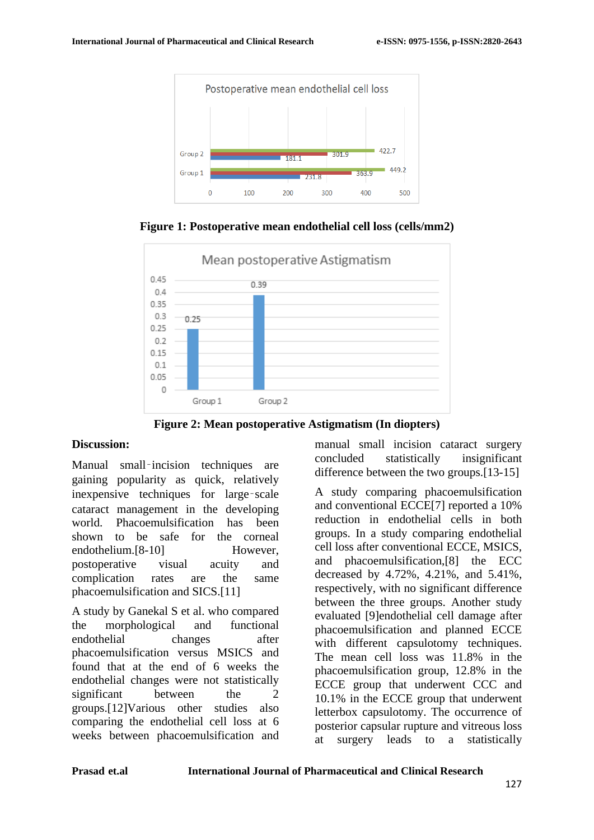

Mean postoperative Astigmatism  $0.45$ 0.39  $0.4$  $0.35$  $0.3$  $0.25$  $0.25$  $02$  $0.15$  $0<sub>1</sub>$  $0.05$  $\mathbf 0$ Group 1 Group<sub>2</sub>

**Figure 1: Postoperative mean endothelial cell loss (cells/mm2)**

**Figure 2: Mean postoperative Astigmatism (In diopters)**

## **Discussion:**

Manual small–incision techniques are gaining popularity as quick, relatively inexpensive techniques for large‑scale cataract management in the developing world. Phacoemulsification has been shown to be safe for the corneal endothelium.[8-10] However, postoperative visual acuity and complication rates are the same phacoemulsification and SICS.[11]

A study by Ganekal S et al. who compared the morphological and functional endothelial changes after phacoemulsification versus MSICS and found that at the end of 6 weeks the endothelial changes were not statistically significant between the 2 groups.[12]Various other studies also comparing the endothelial cell loss at 6 weeks between phacoemulsification and manual small incision cataract surgery concluded statistically insignificant difference between the two groups.[13-15]

A study comparing phacoemulsification and conventional ECCE[7] reported a 10% reduction in endothelial cells in both groups. In a study comparing endothelial cell loss after conventional ECCE, MSICS, and phacoemulsification,[8] the ECC decreased by 4.72%, 4.21%, and 5.41%, respectively, with no significant difference between the three groups. Another study evaluated [9]endothelial cell damage after phacoemulsification and planned ECCE with different capsulotomy techniques. The mean cell loss was 11.8% in the phacoemulsification group, 12.8% in the ECCE group that underwent CCC and 10.1% in the ECCE group that underwent letterbox capsulotomy. The occurrence of posterior capsular rupture and vitreous loss at surgery leads to a statistically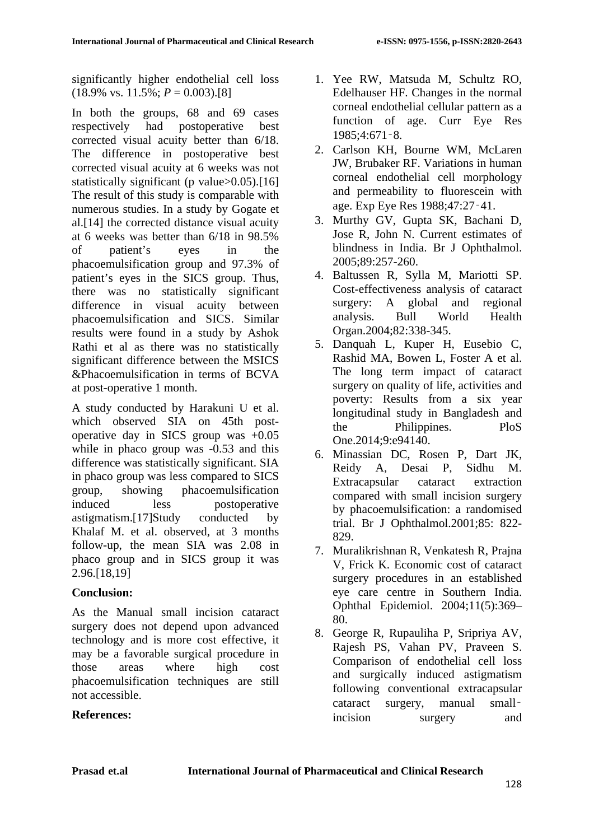significantly higher endothelial cell loss  $(18.9\% \text{ vs. } 11.5\%; P = 0.003)$ .[8]

In both the groups, 68 and 69 cases respectively had postoperative best corrected visual acuity better than 6/18. The difference in postoperative best corrected visual acuity at 6 weeks was not statistically significant (p value>0.05).[16] The result of this study is comparable with numerous studies. In a study by Gogate et al.[14] the corrected distance visual acuity at 6 weeks was better than 6/18 in 98.5% of patient's eyes in the phacoemulsification group and 97.3% of patient's eyes in the SICS group. Thus, there was no statistically significant difference in visual acuity between phacoemulsification and SICS. Similar results were found in a study by Ashok Rathi et al as there was no statistically significant difference between the MSICS &Phacoemulsification in terms of BCVA at post-operative 1 month.

A study conducted by Harakuni U et al. which observed SIA on 45th postoperative day in SICS group was +0.05 while in phaco group was  $-0.53$  and this difference was statistically significant. SIA in phaco group was less compared to SICS group, showing phacoemulsification induced less postoperative astigmatism.[17]Study conducted by Khalaf M. et al. observed, at 3 months follow-up, the mean SIA was 2.08 in phaco group and in SICS group it was 2.96.[18,19]

## **Conclusion:**

As the Manual small incision cataract surgery does not depend upon advanced technology and is more cost effective, it may be a favorable surgical procedure in those areas where high cost phacoemulsification techniques are still not accessible.

## **References:**

- 1. Yee RW, Matsuda M, Schultz RO, Edelhauser HF. Changes in the normal corneal endothelial cellular pattern as a function of age. Curr Eye Res 1985;4:671‑8.
- 2. Carlson KH, Bourne WM, McLaren JW, Brubaker RF. Variations in human corneal endothelial cell morphology and permeability to fluorescein with age. Exp Eye Res 1988;47:27‑41.
- 3. Murthy GV, Gupta SK, Bachani D, Jose R, John N. Current estimates of blindness in India. Br J Ophthalmol. 2005;89:257-260.
- 4. Baltussen R, Sylla M, Mariotti SP. Cost-effectiveness analysis of cataract surgery: A global and regional analysis. Bull World Health Organ.2004;82:338-345.
- 5. Danquah L, Kuper H, Eusebio C, Rashid MA, Bowen L, Foster A et al. The long term impact of cataract surgery on quality of life, activities and poverty: Results from a six year longitudinal study in Bangladesh and the Philippines. PloS One.2014;9:e94140.
- 6. Minassian DC, Rosen P, Dart JK, Reidy A, Desai P, Sidhu M. Extracapsular cataract extraction compared with small incision surgery by phacoemulsification: a randomised trial. Br J Ophthalmol.2001;85: 822- 829.
- 7. Muralikrishnan R, Venkatesh R, Prajna V, Frick K. Economic cost of cataract surgery procedures in an established eye care centre in Southern India. Ophthal Epidemiol. 2004;11(5):369– 80.
- 8. George R, Rupauliha P, Sripriya AV, Rajesh PS, Vahan PV, Praveen S. Comparison of endothelial cell loss and surgically induced astigmatism following conventional extracapsular cataract surgery, manual small– incision surgery and